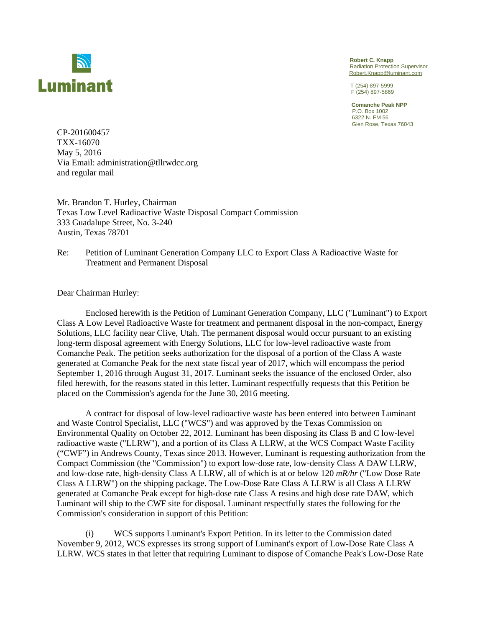

 **Robert C. Knapp**  Radiation Protection Supervisor Robert.Knapp@luminant.com

F (254) 897-5869

 **Comanche Peak NPP**  P.O. Box 1002 6322 N. FM 56 Glen Rose, Texas 76043

CP-201600457 TXX-16070 May 5, 2016 Via Email: administration@tllrwdcc.org and regular mail

Mr. Brandon T. Hurley, Chairman Texas Low Level Radioactive Waste Disposal Compact Commission 333 Guadalupe Street, No. 3-240 Austin, Texas 78701

Re: Petition of Luminant Generation Company LLC to Export Class A Radioactive Waste for Treatment and Permanent Disposal

Dear Chairman Hurley:

Enclosed herewith is the Petition of Luminant Generation Company, LLC ("Luminant") to Export Class A Low Level Radioactive Waste for treatment and permanent disposal in the non-compact, Energy Solutions, LLC facility near Clive, Utah. The permanent disposal would occur pursuant to an existing long-term disposal agreement with Energy Solutions, LLC for low-level radioactive waste from Comanche Peak. The petition seeks authorization for the disposal of a portion of the Class A waste generated at Comanche Peak for the next state fiscal year of 2017, which will encompass the period September 1, 2016 through August 31, 2017. Luminant seeks the issuance of the enclosed Order, also filed herewith, for the reasons stated in this letter. Luminant respectfully requests that this Petition be placed on the Commission's agenda for the June 30, 2016 meeting.

A contract for disposal of low-level radioactive waste has been entered into between Luminant and Waste Control Specialist, LLC ("WCS") and was approved by the Texas Commission on Environmental Quality on October 22, 2012. Luminant has been disposing its Class B and C low-level radioactive waste ("LLRW"), and a portion of its Class A LLRW, at the WCS Compact Waste Facility ("CWF") in Andrews County, Texas since 2013. However, Luminant is requesting authorization from the Compact Commission (the "Commission") to export low-dose rate, low-density Class A DAW LLRW, and low-dose rate, high-density Class A LLRW, all of which is at or below 120 *mR/hr* ("Low Dose Rate Class A LLRW") on the shipping package. The Low-Dose Rate Class A LLRW is all Class A LLRW generated at Comanche Peak except for high-dose rate Class A resins and high dose rate DAW, which Luminant will ship to the CWF site for disposal. Luminant respectfully states the following for the Commission's consideration in support of this Petition:

(i) WCS supports Luminant's Export Petition. In its letter to the Commission dated November 9, 2012, WCS expresses its strong support of Luminant's export of Low-Dose Rate Class A LLRW. WCS states in that letter that requiring Luminant to dispose of Comanche Peak's Low-Dose Rate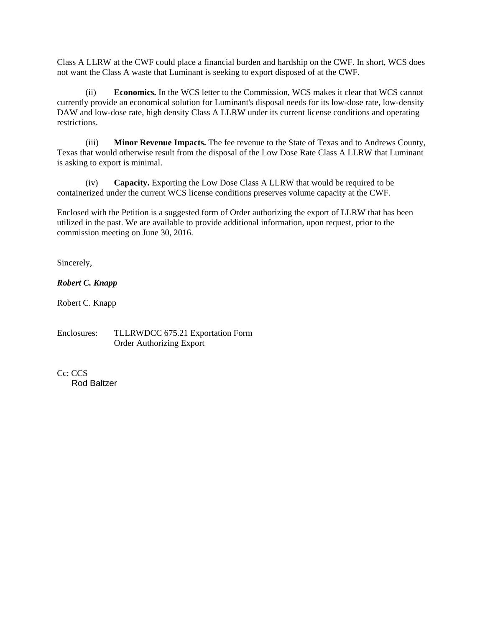Class A LLRW at the CWF could place a financial burden and hardship on the CWF. In short, WCS does not want the Class A waste that Luminant is seeking to export disposed of at the CWF.

(ii) **Economics.** In the WCS letter to the Commission, WCS makes it clear that WCS cannot currently provide an economical solution for Luminant's disposal needs for its low-dose rate, low-density DAW and low-dose rate, high density Class A LLRW under its current license conditions and operating restrictions.

(iii) **Minor Revenue Impacts.** The fee revenue to the State of Texas and to Andrews County, Texas that would otherwise result from the disposal of the Low Dose Rate Class A LLRW that Luminant is asking to export is minimal.

(iv) **Capacity.** Exporting the Low Dose Class A LLRW that would be required to be containerized under the current WCS license conditions preserves volume capacity at the CWF.

Enclosed with the Petition is a suggested form of Order authorizing the export of LLRW that has been utilized in the past. We are available to provide additional information, upon request, prior to the commission meeting on June 30, 2016.

Sincerely,

*Robert C. Knapp* 

Robert C. Knapp

Enclosures: TLLRWDCC 675.21 Exportation Form Order Authorizing Export

C<sub>c</sub>: CCS Rod Baltzer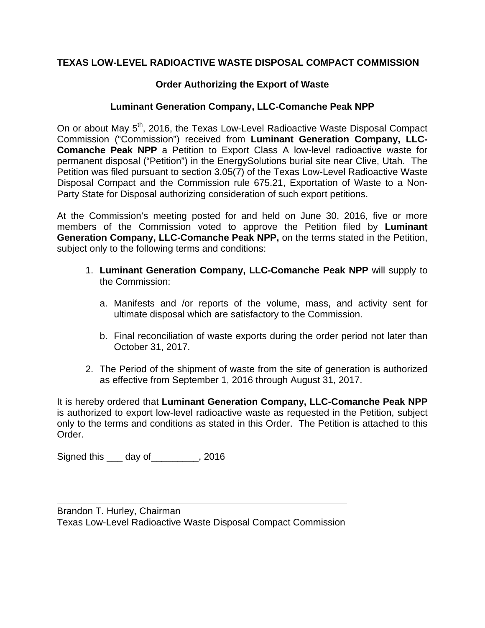## **TEXAS LOW-LEVEL RADIOACTIVE WASTE DISPOSAL COMPACT COMMISSION**

## **Order Authorizing the Export of Waste**

## **Luminant Generation Company, LLC-Comanche Peak NPP**

On or about May 5<sup>th</sup>, 2016, the Texas Low-Level Radioactive Waste Disposal Compact Commission ("Commission") received from **Luminant Generation Company, LLC-Comanche Peak NPP** a Petition to Export Class A low-level radioactive waste for permanent disposal ("Petition") in the EnergySolutions burial site near Clive, Utah. The Petition was filed pursuant to section 3.05(7) of the Texas Low-Level Radioactive Waste Disposal Compact and the Commission rule 675.21, Exportation of Waste to a Non-Party State for Disposal authorizing consideration of such export petitions.

At the Commission's meeting posted for and held on June 30, 2016, five or more members of the Commission voted to approve the Petition filed by **Luminant Generation Company, LLC-Comanche Peak NPP,** on the terms stated in the Petition, subject only to the following terms and conditions:

- 1. **Luminant Generation Company, LLC-Comanche Peak NPP** will supply to the Commission:
	- a. Manifests and /or reports of the volume, mass, and activity sent for ultimate disposal which are satisfactory to the Commission.
	- b. Final reconciliation of waste exports during the order period not later than October 31, 2017.
- 2. The Period of the shipment of waste from the site of generation is authorized as effective from September 1, 2016 through August 31, 2017.

It is hereby ordered that **Luminant Generation Company, LLC-Comanche Peak NPP**  is authorized to export low-level radioactive waste as requested in the Petition, subject only to the terms and conditions as stated in this Order. The Petition is attached to this Order.

Signed this \_\_\_ day of\_\_\_\_\_\_\_\_\_, 2016

Brandon T. Hurley, Chairman Texas Low-Level Radioactive Waste Disposal Compact Commission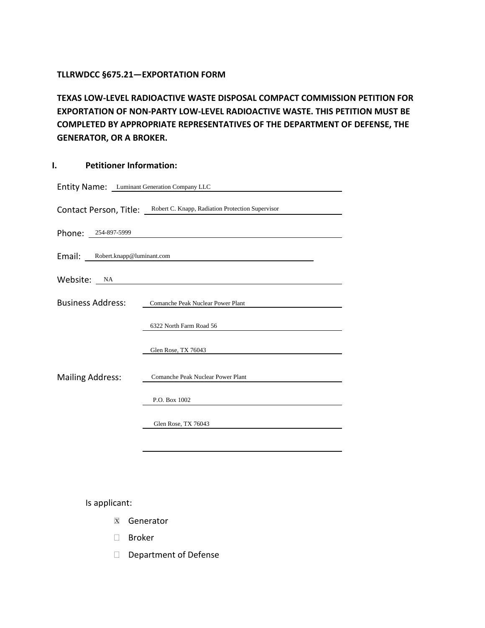#### **TLLRWDCC §675.21—EXPORTATION FORM**

**TEXAS LOW-LEVEL RADIOACTIVE WASTE DISPOSAL COMPACT COMMISSION PETITION FOR EXPORTATION OF NON-PARTY LOW-LEVEL RADIOACTIVE WASTE. THIS PETITION MUST BE COMPLETED BY APPROPRIATE REPRESENTATIVES OF THE DEPARTMENT OF DEFENSE, THE GENERATOR, OR A BROKER.**

#### **I. Petitioner Information:**

| Entity Name: Luminant Generation Company LLC |                                                                         |
|----------------------------------------------|-------------------------------------------------------------------------|
|                                              | Contact Person, Title: Robert C. Knapp, Radiation Protection Supervisor |
| Phone: 254-897-5999                          |                                                                         |
| Email: Robert.knapp@luminant.com             |                                                                         |
| Website: NA                                  |                                                                         |
| <b>Business Address:</b>                     | Comanche Peak Nuclear Power Plant                                       |
| <b>Mailing Address:</b>                      | 6322 North Farm Road 56                                                 |
|                                              | Glen Rose, TX 76043                                                     |
|                                              | Comanche Peak Nuclear Power Plant                                       |
|                                              | P.O. Box 1002                                                           |
|                                              | Glen Rose, TX 76043                                                     |
|                                              |                                                                         |

Is applicant:

- **X** Generator
- Broker
- Department of Defense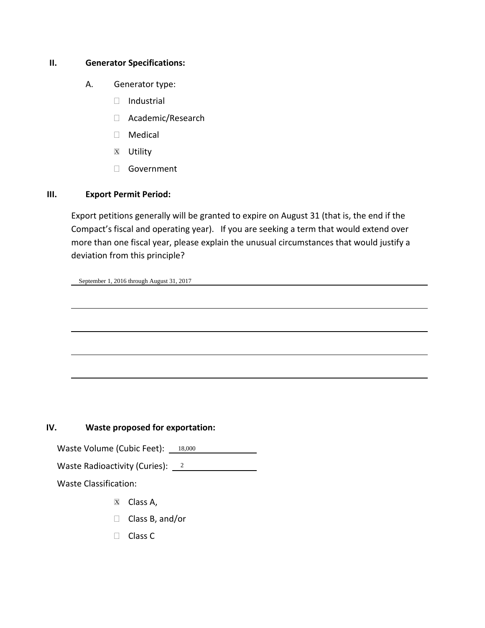#### **II. Generator Specifications:**

- A. Generator type:
	- Industrial
	- Academic/Research
	- Medical
	- **X** Utility
	- Government

#### **III. Export Permit Period:**

Export petitions generally will be granted to expire on August 31 (that is, the end if the Compact's fiscal and operating year). If you are seeking a term that would extend over more than one fiscal year, please explain the unusual circumstances that would justify a deviation from this principle?

l

l

l

l

l

September 1, 2016 through August 31, 2017

### **IV. Waste proposed for exportation:**

Waste Volume (Cubic Feet): 18,000

Waste Radioactivity (Curies):  $\frac{2}{3}$ 

Waste Classification:

- **X** Class A,
- □ Class B, and/or
- □ Class C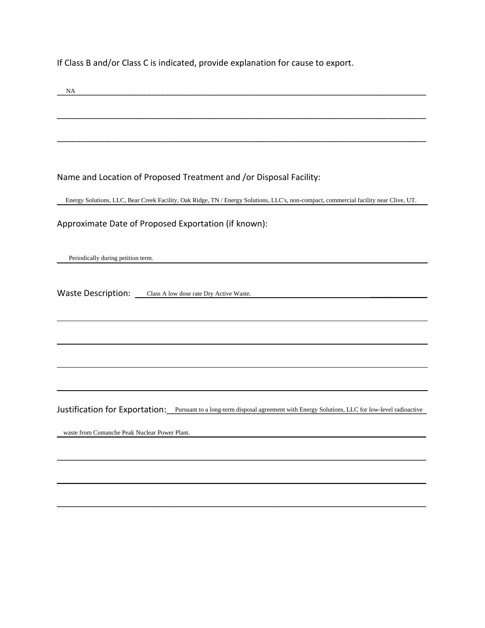If Class B and/or Class C is indicated, provide explanation for cause to export.

| NA                                                                                                                                    |
|---------------------------------------------------------------------------------------------------------------------------------------|
|                                                                                                                                       |
|                                                                                                                                       |
|                                                                                                                                       |
| Name and Location of Proposed Treatment and /or Disposal Facility:                                                                    |
| Energy Solutions, LLC, Bear Creek Facility, Oak Ridge, TN / Energy Solutions, LLC's, non-compact, commercial facility near Clive, UT. |
| Approximate Date of Proposed Exportation (if known):                                                                                  |
| Periodically during petition term.                                                                                                    |
| Waste Description: Class A low dose rate Dry Active Waste.                                                                            |
|                                                                                                                                       |
|                                                                                                                                       |
|                                                                                                                                       |
| Justification for Exportation: Pursuant to a long-term disposal agreement with Energy Solutions, LLC for low-level radioactive        |
| waste from Comanche Peak Nuclear Power Plant.                                                                                         |
|                                                                                                                                       |
|                                                                                                                                       |

 $\mathcal{L}_\mathcal{L} = \mathcal{L}_\mathcal{L} = \mathcal{L}_\mathcal{L} = \mathcal{L}_\mathcal{L} = \mathcal{L}_\mathcal{L} = \mathcal{L}_\mathcal{L} = \mathcal{L}_\mathcal{L} = \mathcal{L}_\mathcal{L} = \mathcal{L}_\mathcal{L} = \mathcal{L}_\mathcal{L} = \mathcal{L}_\mathcal{L} = \mathcal{L}_\mathcal{L} = \mathcal{L}_\mathcal{L} = \mathcal{L}_\mathcal{L} = \mathcal{L}_\mathcal{L} = \mathcal{L}_\mathcal{L} = \mathcal{L}_\mathcal{L}$ 

\_\_\_\_\_\_\_\_\_\_\_\_\_\_\_\_\_\_\_\_\_\_\_\_\_\_\_\_\_\_\_\_\_\_\_\_\_\_\_\_\_\_\_\_\_\_\_\_\_\_\_\_\_\_\_\_\_\_\_\_\_\_\_\_\_\_\_\_\_\_\_\_\_\_\_\_\_\_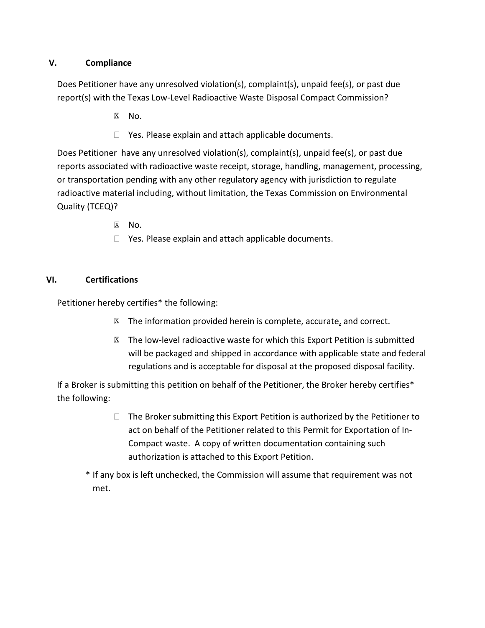### **V. Compliance**

Does Petitioner have any unresolved violation(s), complaint(s), unpaid fee(s), or past due report(s) with the Texas Low-Level Radioactive Waste Disposal Compact Commission?

- $X$  No.
- $\Box$  Yes. Please explain and attach applicable documents.

Does Petitioner have any unresolved violation(s), complaint(s), unpaid fee(s), or past due reports associated with radioactive waste receipt, storage, handling, management, processing, or transportation pending with any other regulatory agency with jurisdiction to regulate radioactive material including, without limitation, the Texas Commission on Environmental Quality (TCEQ)?

- X No.
- $\Box$  Yes. Please explain and attach applicable documents.

### **VI. Certifications**

Petitioner hereby certifies\* the following:

- $\mathbb{Z}$  The information provided herein is complete, accurate, and correct.
- $\mathbb{Z}$  The low-level radioactive waste for which this Export Petition is submitted will be packaged and shipped in accordance with applicable state and federal regulations and is acceptable for disposal at the proposed disposal facility.

If a Broker is submitting this petition on behalf of the Petitioner, the Broker hereby certifies\* the following:

> $\Box$  The Broker submitting this Export Petition is authorized by the Petitioner to act on behalf of the Petitioner related to this Permit for Exportation of In-Compact waste. A copy of written documentation containing such authorization is attached to this Export Petition.

\* If any box is left unchecked, the Commission will assume that requirement was not met.